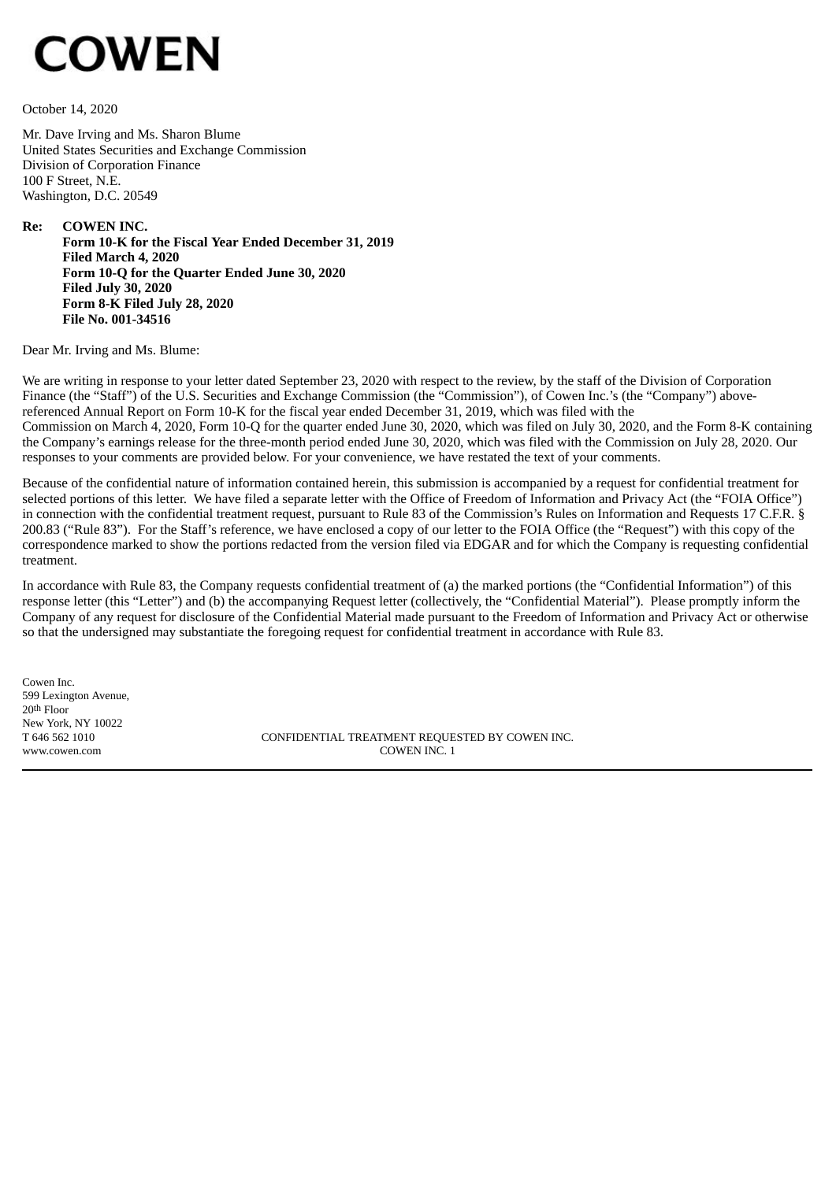# **COWEN**

October 14, 2020

Mr. Dave Irving and Ms. Sharon Blume United States Securities and Exchange Commission Division of Corporation Finance 100 F Street, N.E. Washington, D.C. 20549

**Re: COWEN INC. Form 10-K for the Fiscal Year Ended December 31, 2019 Filed March 4, 2020 Form 10-Q for the Quarter Ended June 30, 2020 Filed July 30, 2020 Form 8-K Filed July 28, 2020 File No. 001-34516**

Dear Mr. Irving and Ms. Blume:

We are writing in response to your letter dated September 23, 2020 with respect to the review, by the staff of the Division of Corporation Finance (the "Staff") of the U.S. Securities and Exchange Commission (the "Commission"), of Cowen Inc.'s (the "Company") abovereferenced Annual Report on Form 10-K for the fiscal year ended December 31, 2019, which was filed with the Commission on March 4, 2020, Form 10-Q for the quarter ended June 30, 2020, which was filed on July 30, 2020, and the Form 8-K containing the Company's earnings release for the three-month period ended June 30, 2020, which was filed with the Commission on July 28, 2020. Our responses to your comments are provided below. For your convenience, we have restated the text of your comments.

Because of the confidential nature of information contained herein, this submission is accompanied by a request for confidential treatment for selected portions of this letter. We have filed a separate letter with the Office of Freedom of Information and Privacy Act (the "FOIA Office") in connection with the confidential treatment request, pursuant to Rule 83 of the Commission's Rules on Information and Requests 17 C.F.R. § 200.83 ("Rule 83"). For the Staff's reference, we have enclosed a copy of our letter to the FOIA Office (the "Request") with this copy of the correspondence marked to show the portions redacted from the version filed via EDGAR and for which the Company is requesting confidential treatment.

In accordance with Rule 83, the Company requests confidential treatment of (a) the marked portions (the "Confidential Information") of this response letter (this "Letter") and (b) the accompanying Request letter (collectively, the "Confidential Material"). Please promptly inform the Company of any request for disclosure of the Confidential Material made pursuant to the Freedom of Information and Privacy Act or otherwise so that the undersigned may substantiate the foregoing request for confidential treatment in accordance with Rule 83.

Cowen Inc. 599 Lexington Avenue, 20th Floor New York, NY 10022

T 646 562 1010 CONFIDENTIAL TREATMENT REQUESTED BY COWEN INC. www.cowen.com COWEN INC. 1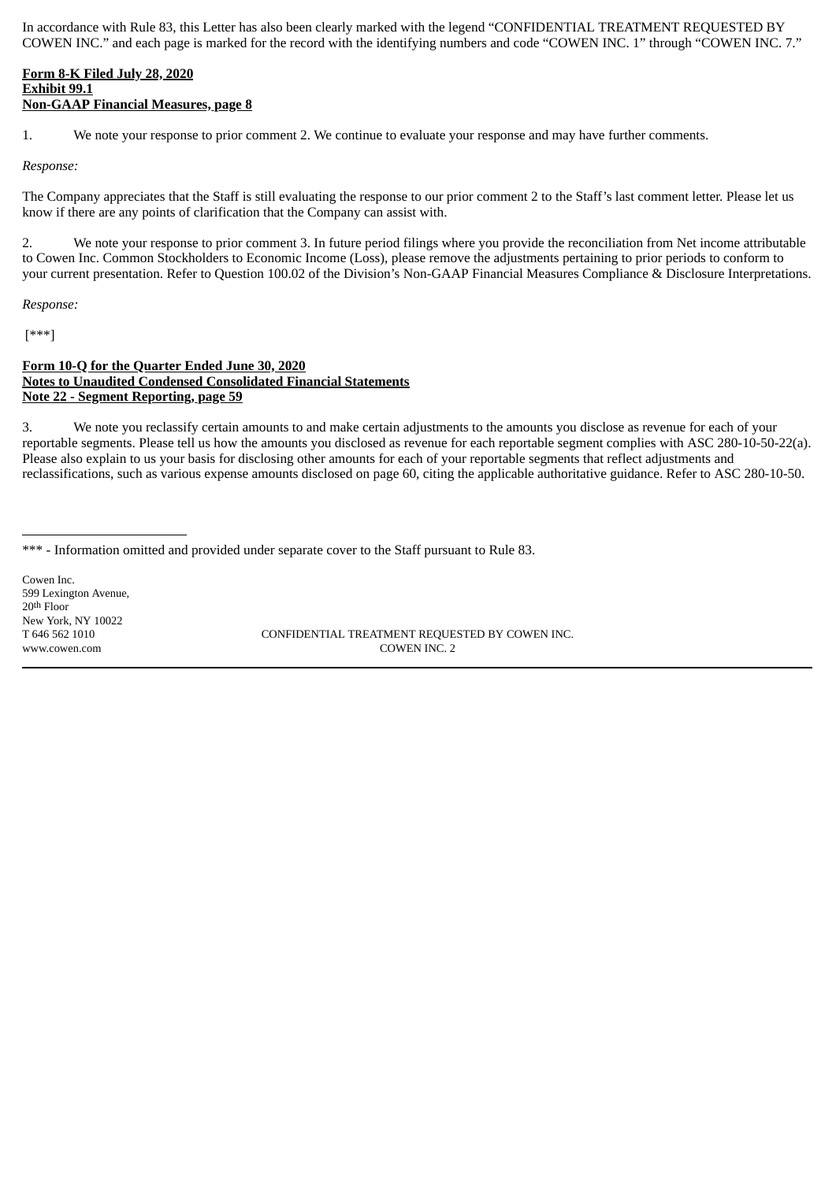In accordance with Rule 83, this Letter has also been clearly marked with the legend "CONFIDENTIAL TREATMENT REQUESTED BY COWEN INC." and each page is marked for the record with the identifying numbers and code "COWEN INC. 1" through "COWEN INC. 7."

## **Form 8-K Filed July 28, 2020 Exhibit 99.1 Non-GAAP Financial Measures, page 8**

1. We note your response to prior comment 2. We continue to evaluate your response and may have further comments.

#### *Response:*

The Company appreciates that the Staff is still evaluating the response to our prior comment 2 to the Staff's last comment letter. Please let us know if there are any points of clarification that the Company can assist with.

2. We note your response to prior comment 3. In future period filings where you provide the reconciliation from Net income attributable to Cowen Inc. Common Stockholders to Economic Income (Loss), please remove the adjustments pertaining to prior periods to conform to your current presentation. Refer to Question 100.02 of the Division's Non-GAAP Financial Measures Compliance & Disclosure Interpretations.

*Response:*

[\*\*\*]

## **Form 10-Q for the Quarter Ended June 30, 2020 Notes to Unaudited Condensed Consolidated Financial Statements Note 22 - Segment Reporting, page 59**

3. We note you reclassify certain amounts to and make certain adjustments to the amounts you disclose as revenue for each of your reportable segments. Please tell us how the amounts you disclosed as revenue for each reportable segment complies with ASC 280-10-50-22(a). Please also explain to us your basis for disclosing other amounts for each of your reportable segments that reflect adjustments and reclassifications, such as various expense amounts disclosed on page 60, citing the applicable authoritative guidance. Refer to ASC 280-10-50.

Cowen Inc. 599 Lexington Avenue, 20th Floor New York, NY 10022<br>T 646 562 1010

CONFIDENTIAL TREATMENT REQUESTED BY COWEN INC. www.cowen.com COWEN INC. 2

<sup>\*\*\* -</sup> Information omitted and provided under separate cover to the Staff pursuant to Rule 83.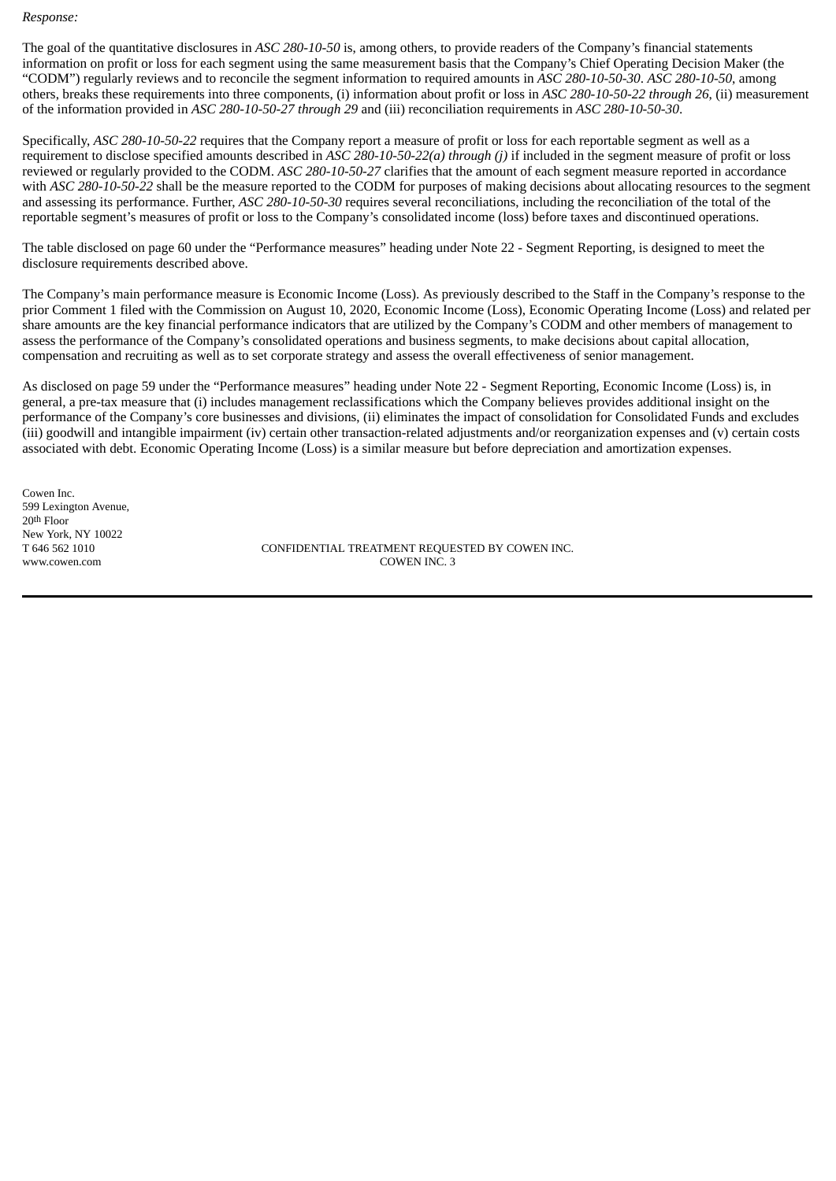*Response:*

The goal of the quantitative disclosures in *ASC 280-10-50* is, among others, to provide readers of the Company's financial statements information on profit or loss for each segment using the same measurement basis that the Company's Chief Operating Decision Maker (the "CODM") regularly reviews and to reconcile the segment information to required amounts in *ASC 280-10-50-30*. *ASC 280-10-50*, among others, breaks these requirements into three components, (i) information about profit or loss in *ASC 280-10-50-22 through 26*, (ii) measurement of the information provided in *ASC 280-10-50-27 through 29* and (iii) reconciliation requirements in *ASC 280-10-50-30*.

Specifically, *ASC 280-10-50-22* requires that the Company report a measure of profit or loss for each reportable segment as well as a requirement to disclose specified amounts described in *ASC 280-10-50-22(a) through (j)* if included in the segment measure of profit or loss reviewed or regularly provided to the CODM. *ASC 280-10-50-27* clarifies that the amount of each segment measure reported in accordance with *ASC 280-10-50-22* shall be the measure reported to the CODM for purposes of making decisions about allocating resources to the segment and assessing its performance. Further, *ASC 280-10-50-30* requires several reconciliations, including the reconciliation of the total of the reportable segment's measures of profit or loss to the Company's consolidated income (loss) before taxes and discontinued operations.

The table disclosed on page 60 under the "Performance measures" heading under Note 22 - Segment Reporting, is designed to meet the disclosure requirements described above.

The Company's main performance measure is Economic Income (Loss). As previously described to the Staff in the Company's response to the prior Comment 1 filed with the Commission on August 10, 2020, Economic Income (Loss), Economic Operating Income (Loss) and related per share amounts are the key financial performance indicators that are utilized by the Company's CODM and other members of management to assess the performance of the Company's consolidated operations and business segments, to make decisions about capital allocation, compensation and recruiting as well as to set corporate strategy and assess the overall effectiveness of senior management.

As disclosed on page 59 under the "Performance measures" heading under Note 22 - Segment Reporting, Economic Income (Loss) is, in general, a pre-tax measure that (i) includes management reclassifications which the Company believes provides additional insight on the performance of the Company's core businesses and divisions, (ii) eliminates the impact of consolidation for Consolidated Funds and excludes (iii) goodwill and intangible impairment (iv) certain other transaction-related adjustments and/or reorganization expenses and (v) certain costs associated with debt. Economic Operating Income (Loss) is a similar measure but before depreciation and amortization expenses.

Cowen Inc. 599 Lexington Avenue, 20th Floor New York, NY 10022<br>T 646 562 1010

CONFIDENTIAL TREATMENT REQUESTED BY COWEN INC. www.cowen.com **COWEN INC.** 3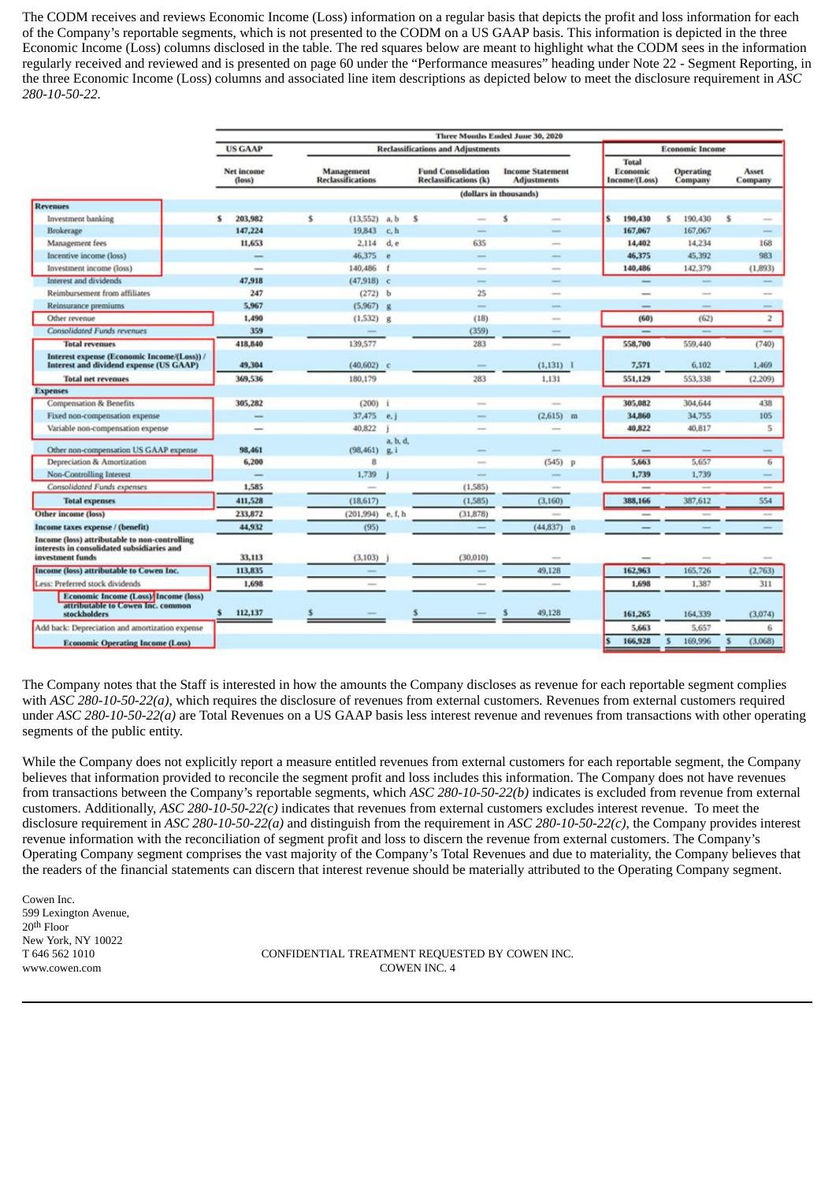The CODM receives and reviews Economic Income (Loss) information on a regular basis that depicts the profit and loss information for each of the Company's reportable segments, which is not presented to the CODM on a US GAAP basis. This information is depicted in the three Economic Income (Loss) columns disclosed in the table. The red squares below are meant to highlight what the CODM sees in the information regularly received and reviewed and is presented on page 60 under the "Performance measures" heading under Note 22 - Segment Reporting, in the three Economic Income (Loss) columns and associated line item descriptions as depicted below to meet the disclosure requirement in *ASC 280-10-50-22.*

|                                                                                                                 | Three Months Ended June 30, 2020 |                                        |                     |                                                           |                                                                                                |                        |                                           |                                                                                                |                                                                                                |  |  |  |
|-----------------------------------------------------------------------------------------------------------------|----------------------------------|----------------------------------------|---------------------|-----------------------------------------------------------|------------------------------------------------------------------------------------------------|------------------------|-------------------------------------------|------------------------------------------------------------------------------------------------|------------------------------------------------------------------------------------------------|--|--|--|
|                                                                                                                 | <b>US GAAP</b>                   |                                        |                     | <b>Reclassifications and Adjustments</b>                  |                                                                                                | <b>Economic Income</b> |                                           |                                                                                                |                                                                                                |  |  |  |
|                                                                                                                 | Net income<br>(loss)             | Management<br><b>Reclassifications</b> |                     | <b>Fund Consolidation</b><br><b>Reclassifications</b> (k) | <b>Income Statement</b><br><b>Adjustments</b>                                                  |                        | <b>Total</b><br>Economic<br>Income/(Loss) | <b>Operating</b><br>Company                                                                    | Asset<br>Company                                                                               |  |  |  |
|                                                                                                                 |                                  |                                        |                     |                                                           | (dollars in thousands)                                                                         |                        |                                           |                                                                                                |                                                                                                |  |  |  |
| <b>Revenues</b>                                                                                                 |                                  |                                        |                     |                                                           |                                                                                                |                        |                                           |                                                                                                |                                                                                                |  |  |  |
| Investment banking                                                                                              | 203,982<br>s                     | s                                      | $(13,552)$ a, b     | s                                                         | Ś<br>-                                                                                         | s                      | 190,430                                   | s<br>190,430                                                                                   | s                                                                                              |  |  |  |
| Brokerage                                                                                                       | 147,224                          | 19,843                                 | c, h                |                                                           | $\frac{1}{2}$                                                                                  |                        | 167,067                                   | 167,067                                                                                        | $\frac{1}{2}$                                                                                  |  |  |  |
| Management fees                                                                                                 | 11,653                           |                                        | $2,114$ d. e        | 635                                                       | $\overline{\phantom{a}}$                                                                       |                        | 14,402                                    | 14,234                                                                                         | 168                                                                                            |  |  |  |
| Incentive income (loss)                                                                                         | $\overline{\phantom{a}}$         | 46,375                                 | $\bullet$           |                                                           | -                                                                                              |                        | 46,375                                    | 45,392                                                                                         | 983                                                                                            |  |  |  |
| Investment income (loss)                                                                                        |                                  | 140,486                                | $\mathbf{f}$        |                                                           | -                                                                                              |                        | 140,486                                   | 142,379                                                                                        | (1,893)                                                                                        |  |  |  |
| Interest and dividends                                                                                          | 47,918                           |                                        | $(47,918)$ c        |                                                           |                                                                                                |                        | -                                         | -                                                                                              |                                                                                                |  |  |  |
| Reimbursement from affiliates                                                                                   | 247                              |                                        | $(272)$ b           | 25                                                        | $\sim$                                                                                         |                        | -                                         | min.                                                                                           |                                                                                                |  |  |  |
| Reinsurance premiums                                                                                            | 5,967                            |                                        | $(5.967)$ g         | $\frac{1}{2}$                                             |                                                                                                |                        | $\qquad \qquad$                           |                                                                                                |                                                                                                |  |  |  |
| Other revenue                                                                                                   | 1,490                            |                                        | $(1,532)$ g         | (18)                                                      | $\overline{\phantom{a}}$                                                                       |                        | (60)                                      | (62)                                                                                           | 2                                                                                              |  |  |  |
| <b>Consolidated Funds revenues</b>                                                                              | 359                              |                                        |                     | (359)                                                     |                                                                                                |                        |                                           |                                                                                                |                                                                                                |  |  |  |
| <b>Total revenues</b>                                                                                           | 418,840                          | 139,577                                |                     | 283                                                       | $\sim$                                                                                         |                        | 558,700                                   | 559,440                                                                                        | (740)                                                                                          |  |  |  |
| Interest expense (Economic Income/(Loss)) /<br>Interest and dividend expense (US GAAP)                          | 49,304                           |                                        | $(40, 602)$ c       |                                                           | $(1,131)$ 1                                                                                    |                        | 7,571                                     | 6,102                                                                                          | 1,469                                                                                          |  |  |  |
| <b>Total net revenues</b>                                                                                       | 369,536                          | 180,179                                |                     | 283                                                       | 1,131                                                                                          |                        | 551,129                                   | 553,338                                                                                        | (2.209)                                                                                        |  |  |  |
| <b>Expenses</b>                                                                                                 |                                  |                                        |                     |                                                           |                                                                                                |                        |                                           |                                                                                                |                                                                                                |  |  |  |
| <b>Compensation &amp; Benefits</b>                                                                              | 305,282                          |                                        | $(200)$ i           |                                                           | ÷                                                                                              |                        | 305,082                                   | 304,644                                                                                        | 438                                                                                            |  |  |  |
| Fixed non-compensation expense                                                                                  | $\qquad \qquad$                  |                                        | 37,475 e.           |                                                           | $(2,615)$ m                                                                                    |                        | 34,860                                    | 34,755                                                                                         | 105                                                                                            |  |  |  |
| Variable non-compensation expense                                                                               | $\sim$                           | 40,822                                 |                     |                                                           | $\overline{\phantom{a}}$                                                                       |                        | 40,822                                    | 40,817                                                                                         | 5                                                                                              |  |  |  |
|                                                                                                                 |                                  |                                        | a, b, d,            |                                                           |                                                                                                |                        |                                           |                                                                                                |                                                                                                |  |  |  |
| Other non-compensation US GAAP expense                                                                          | 98,461                           |                                        | $(98, 461)$ g.i     |                                                           | -                                                                                              |                        |                                           | -                                                                                              |                                                                                                |  |  |  |
| Depreciation & Amortization                                                                                     | 6,200                            |                                        | 8                   |                                                           | $(545)$ p                                                                                      |                        | 5,663                                     | 5,657                                                                                          | 6                                                                                              |  |  |  |
| Non-Controlling Interest                                                                                        |                                  | 1,739                                  |                     |                                                           | $\overline{\phantom{a}}$                                                                       |                        | 1,739                                     | 1,739                                                                                          |                                                                                                |  |  |  |
| <b>Consolidated Funds expenses</b>                                                                              | 1,585                            |                                        | $\sim$              | (1,585)                                                   | $\sim$                                                                                         |                        | $\frac{1}{2}$                             |                                                                                                |                                                                                                |  |  |  |
| <b>Total expenses</b>                                                                                           | 411,528                          | (18, 617)                              |                     | (1,585)                                                   | (3,160)                                                                                        |                        | 388,166                                   | 387,612                                                                                        | 554                                                                                            |  |  |  |
| Other income (loss)                                                                                             | 233,872                          |                                        | $(201,994)$ e, f, h | (31, 878)                                                 |                                                                                                |                        | $\overline{\phantom{a}}$                  | $\frac{1}{2} \left( \frac{1}{2} \right) \left( \frac{1}{2} \right) \left( \frac{1}{2} \right)$ | $\frac{1}{2} \left( \frac{1}{2} \right) \left( \frac{1}{2} \right) \left( \frac{1}{2} \right)$ |  |  |  |
| Income taxes expense / (benefit)                                                                                | 44,932                           |                                        | (95)                |                                                           | $(44.837)$ n                                                                                   |                        |                                           |                                                                                                |                                                                                                |  |  |  |
| Income (loss) attributable to non-controlling<br>interests in consolidated subsidiaries and<br>investment funds | 33,113                           | (3,103)                                |                     | (30.010)                                                  | $\frac{1}{2} \left( \frac{1}{2} \right) \left( \frac{1}{2} \right) \left( \frac{1}{2} \right)$ |                        |                                           |                                                                                                |                                                                                                |  |  |  |
| Income (loss) attributable to Cowen Inc.                                                                        | 113,835                          |                                        |                     |                                                           | 49,128                                                                                         |                        | 162,963                                   | 165,726                                                                                        | (2,763)                                                                                        |  |  |  |
| Less: Preferred stock dividends                                                                                 | 1,698                            |                                        |                     |                                                           | $\overline{\phantom{a}}$                                                                       |                        | 1,698                                     | 1,387                                                                                          | 311                                                                                            |  |  |  |
| Economic Income (Loss) Income (loss)<br>attributable to Cowen Inc. common<br><b>stockholders</b>                | 112,137<br>s                     |                                        |                     |                                                           | 49,128                                                                                         |                        | 161,265                                   | 164.339                                                                                        | (3.074)                                                                                        |  |  |  |
| Add back: Depreciation and amortization expense                                                                 |                                  |                                        |                     |                                                           |                                                                                                |                        | 5,663                                     | 5,657                                                                                          | 6                                                                                              |  |  |  |
| <b>Economic Operating Income (Loss)</b>                                                                         |                                  |                                        |                     |                                                           |                                                                                                |                        | 166,928                                   | 169,996                                                                                        | (3,068)                                                                                        |  |  |  |
|                                                                                                                 |                                  |                                        |                     |                                                           |                                                                                                |                        |                                           |                                                                                                |                                                                                                |  |  |  |

The Company notes that the Staff is interested in how the amounts the Company discloses as revenue for each reportable segment complies with *ASC 280-10-50-22(a)*, which requires the disclosure of revenues from external customers*.* Revenues from external customers required under *ASC 280-10-50-22(a)* are Total Revenues on a US GAAP basis less interest revenue and revenues from transactions with other operating segments of the public entity.

While the Company does not explicitly report a measure entitled revenues from external customers for each reportable segment, the Company believes that information provided to reconcile the segment profit and loss includes this information. The Company does not have revenues from transactions between the Company's reportable segments, which *ASC 280-10-50-22(b)* indicates is excluded from revenue from external customers. Additionally, *ASC 280-10-50-22(c)* indicates that revenues from external customers excludes interest revenue. To meet the disclosure requirement in *ASC 280-10-50-22(a)* and distinguish from the requirement in *ASC 280-10-50-22(c)*, the Company provides interest revenue information with the reconciliation of segment profit and loss to discern the revenue from external customers. The Company's Operating Company segment comprises the vast majority of the Company's Total Revenues and due to materiality, the Company believes that the readers of the financial statements can discern that interest revenue should be materially attributed to the Operating Company segment.

Cowen Inc. 599 Lexington Avenue, 20th Floor New York, NY 10022

T 646 562 1010 CONFIDENTIAL TREATMENT REQUESTED BY COWEN INC. www.cowen.com **COWEN INC. 4**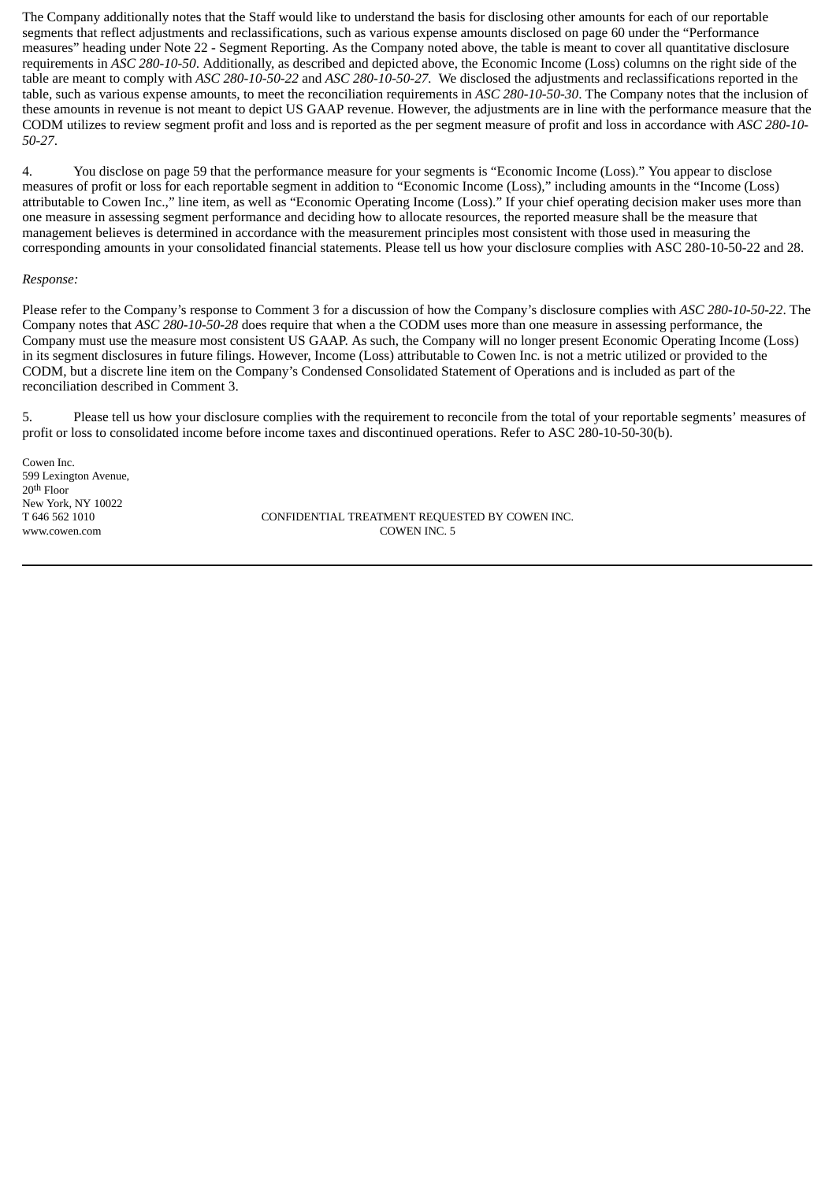The Company additionally notes that the Staff would like to understand the basis for disclosing other amounts for each of our reportable segments that reflect adjustments and reclassifications, such as various expense amounts disclosed on page 60 under the "Performance measures" heading under Note 22 - Segment Reporting. As the Company noted above, the table is meant to cover all quantitative disclosure requirements in *ASC 280-10-50*. Additionally, as described and depicted above, the Economic Income (Loss) columns on the right side of the table are meant to comply with *ASC 280-10-50-22* and *ASC 280-10-50-27.* We disclosed the adjustments and reclassifications reported in the table, such as various expense amounts, to meet the reconciliation requirements in *ASC 280-10-50-30*. The Company notes that the inclusion of these amounts in revenue is not meant to depict US GAAP revenue. However, the adjustments are in line with the performance measure that the CODM utilizes to review segment profit and loss and is reported as the per segment measure of profit and loss in accordance with *ASC 280-10- 50-27*.

4. You disclose on page 59 that the performance measure for your segments is "Economic Income (Loss)." You appear to disclose measures of profit or loss for each reportable segment in addition to "Economic Income (Loss)," including amounts in the "Income (Loss) attributable to Cowen Inc.," line item, as well as "Economic Operating Income (Loss)." If your chief operating decision maker uses more than one measure in assessing segment performance and deciding how to allocate resources, the reported measure shall be the measure that management believes is determined in accordance with the measurement principles most consistent with those used in measuring the corresponding amounts in your consolidated financial statements. Please tell us how your disclosure complies with ASC 280-10-50-22 and 28.

#### *Response:*

Please refer to the Company's response to Comment 3 for a discussion of how the Company's disclosure complies with *ASC 280-10-50-22*. The Company notes that *ASC 280-10-50-28* does require that when a the CODM uses more than one measure in assessing performance, the Company must use the measure most consistent US GAAP. As such, the Company will no longer present Economic Operating Income (Loss) in its segment disclosures in future filings. However, Income (Loss) attributable to Cowen Inc. is not a metric utilized or provided to the CODM, but a discrete line item on the Company's Condensed Consolidated Statement of Operations and is included as part of the reconciliation described in Comment 3.

5. Please tell us how your disclosure complies with the requirement to reconcile from the total of your reportable segments' measures of profit or loss to consolidated income before income taxes and discontinued operations. Refer to ASC 280-10-50-30(b).

Cowen Inc. 599 Lexington Avenue, 20th Floor New York, NY 10022

T 646 562 1010 CONFIDENTIAL TREATMENT REQUESTED BY COWEN INC. www.cowen.com COWEN INC. 5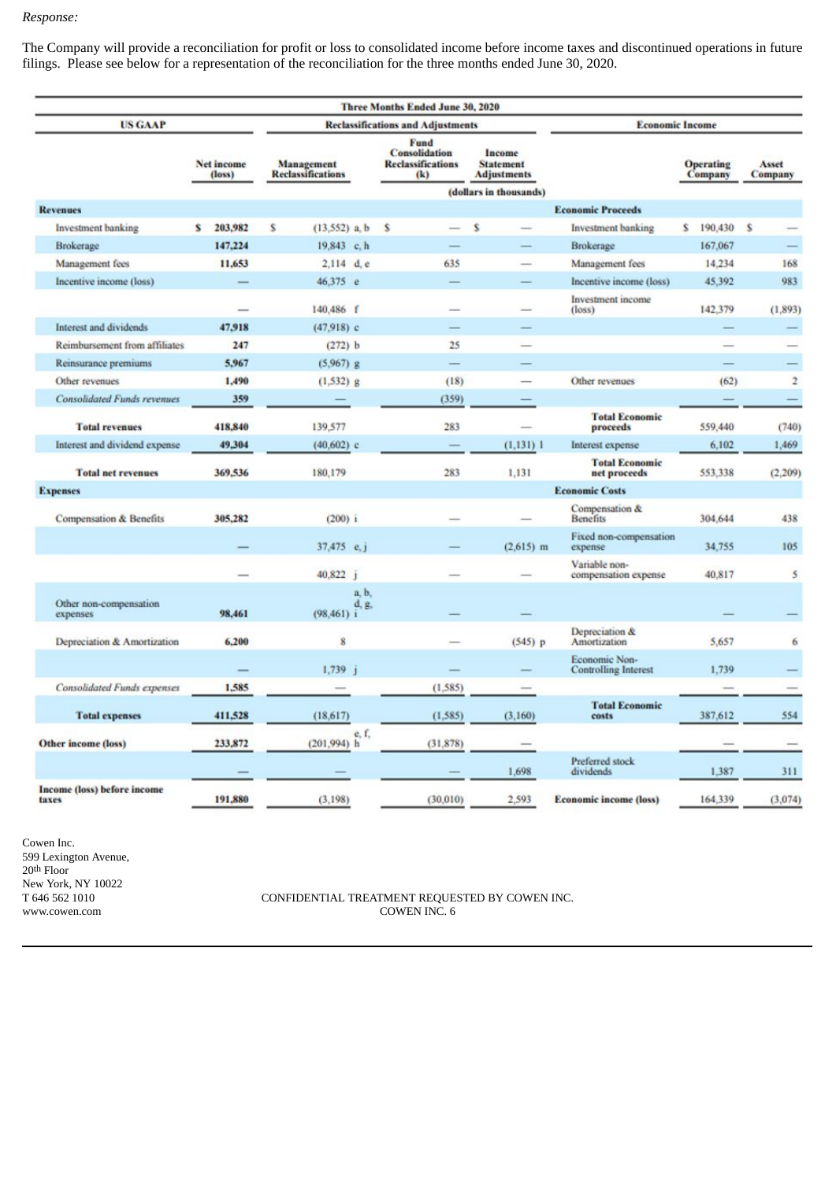### *Response:*

The Company will provide a reconciliation for profit or loss to consolidated income before income taxes and discontinued operations in future filings. Please see below for a representation of the reconciliation for the three months ended June 30, 2020.

|                                      |   |                                          |   |                 |                                                                 | <b>Three Months Ended June 30, 2020</b> |                                                  |                        |                        |                                              |                             |         |                  |            |
|--------------------------------------|---|------------------------------------------|---|-----------------|-----------------------------------------------------------------|-----------------------------------------|--------------------------------------------------|------------------------|------------------------|----------------------------------------------|-----------------------------|---------|------------------|------------|
| <b>US GAAP</b>                       |   | <b>Reclassifications and Adjustments</b> |   |                 |                                                                 |                                         |                                                  | <b>Economic Income</b> |                        |                                              |                             |         |                  |            |
| Net income<br>$class$                |   | Management<br><b>Reclassifications</b>   |   |                 | Fund<br><b>Consolidation</b><br><b>Reclassifications</b><br>(k) |                                         | Income<br><b>Statement</b><br><b>Adjustments</b> |                        |                        |                                              | <b>Operating</b><br>Company |         | Asset<br>Company |            |
| <b>Revenues</b>                      |   |                                          |   |                 |                                                                 |                                         |                                                  |                        | (dollars in thousands) | <b>Economic Proceeds</b>                     |                             |         |                  |            |
|                                      |   | 203,982                                  | s |                 |                                                                 |                                         |                                                  | Ŝ                      |                        |                                              |                             |         |                  |            |
| Investment banking                   | s | 147,224                                  |   | $(13,552)$ a, b |                                                                 | s                                       |                                                  |                        |                        | <b>Investment</b> banking                    | s                           | 190,430 | -S               |            |
| Brokerage                            |   |                                          |   | 19,843 c, h     |                                                                 |                                         | 635                                              |                        |                        | Brokerage                                    |                             | 167,067 |                  | 168        |
| Management fees                      |   | 11,653                                   |   | $2,114$ d. e    |                                                                 |                                         |                                                  |                        |                        | Management fees                              |                             | 14,234  |                  |            |
| Incentive income (loss)              |   |                                          |   | 46,375 e        |                                                                 |                                         |                                                  |                        |                        | Incentive income (loss)                      |                             | 45,392  |                  | 983        |
|                                      |   | $\overline{\phantom{a}}$                 |   | 140,486 f       |                                                                 |                                         | m.                                               |                        | -                      | Investment income<br>$(\text{loss})$         |                             | 142,379 |                  | (1,893)    |
| Interest and dividends               |   | 47.918                                   |   | $(47.918)$ c    |                                                                 |                                         |                                                  |                        |                        |                                              |                             |         |                  |            |
| Reimbursement from affiliates        |   | 247                                      |   | (272) b         |                                                                 |                                         | 25                                               |                        | $-$                    |                                              |                             | -       |                  |            |
| Reinsurance premiums                 |   | 5.967                                    |   | $(5.967)$ g     |                                                                 |                                         |                                                  |                        |                        |                                              |                             |         |                  |            |
| Other revenues                       |   | 1.490                                    |   | $(1, 532)$ g    |                                                                 |                                         | (18)                                             |                        |                        | Other revenues                               |                             | (62)    |                  | $\ddot{2}$ |
| <b>Consolidated Funds revenues</b>   |   | 359                                      |   |                 |                                                                 |                                         | (359)                                            |                        |                        |                                              |                             |         |                  |            |
| <b>Total revenues</b>                |   | 418,840                                  |   | 139,577         |                                                                 |                                         | 283                                              |                        |                        | <b>Total Economic</b><br>proceeds            |                             | 559,440 |                  | (740)      |
| Interest and dividend expense        |   | 49.304                                   |   | $(40,602)$ c    |                                                                 |                                         |                                                  |                        | $(1,131)$ 1            | Interest expense                             |                             | 6,102   |                  | 1,469      |
| <b>Total net revenues</b>            |   | 369,536                                  |   | 180,179         |                                                                 |                                         | 283                                              |                        | 1,131                  | <b>Total Economic</b><br>net proceeds        |                             | 553,338 |                  | (2, 209)   |
| <b>Expenses</b>                      |   |                                          |   |                 |                                                                 |                                         |                                                  |                        |                        | <b>Economic Costs</b>                        |                             |         |                  |            |
| Compensation & Benefits              |   | 305,282                                  |   | (200) i         |                                                                 |                                         |                                                  |                        |                        | Compensation &<br><b>Benefits</b>            |                             | 304,644 |                  | 438        |
|                                      |   |                                          |   | 37,475 e.j      |                                                                 |                                         |                                                  |                        | $(2,615)$ m            | Fixed non-compensation<br>expense            |                             | 34,755  |                  | 105        |
|                                      |   |                                          |   | 40,822 j        |                                                                 |                                         |                                                  |                        |                        | Variable non-<br>compensation expense        |                             | 40,817  |                  | 5          |
| Other non-compensation<br>expenses   |   | 98,461                                   |   | (98, 461) i     | a, b,<br>d, g,                                                  |                                         |                                                  |                        |                        |                                              |                             |         |                  |            |
| Depreciation & Amortization          |   | 6,200                                    |   | 8               |                                                                 |                                         |                                                  |                        | $(545)$ p              | Depreciation &<br>Amortization               |                             | 5,657   |                  | 6          |
|                                      |   |                                          |   | $1,739$ i       |                                                                 |                                         |                                                  |                        |                        | Economic Non-<br><b>Controlling Interest</b> |                             | 1.739   |                  |            |
| <b>Consolidated Funds expenses</b>   |   | 1,585                                    |   |                 |                                                                 |                                         | (1,585)                                          |                        |                        |                                              |                             |         |                  |            |
| <b>Total expenses</b>                |   | 411.528                                  |   | (18,617)        |                                                                 |                                         | (1, 585)                                         |                        | (3,160)                | <b>Total Economic</b><br>costs               |                             | 387,612 |                  | 554        |
| <b>Other income (loss)</b>           |   | 233,872                                  |   | $(201.994)$ h   | e, f.                                                           |                                         | (31, 878)                                        |                        |                        |                                              |                             |         |                  |            |
|                                      |   |                                          |   |                 |                                                                 |                                         |                                                  |                        | 1,698                  | Preferred stock<br>dividends                 |                             | 1,387   |                  | 311        |
| Income (loss) before income<br>taxes |   | 191,880                                  |   | (3.198)         |                                                                 |                                         | (30.010)                                         |                        | 2.593                  | <b>Economic income (loss)</b>                |                             | 164,339 |                  | (3,074)    |

Cowen Inc. 599 Lexington Avenue, 20<sup>th</sup> Floor New York, NY 10022<br>T 646 562 1010 www.cowen.com

CONFIDENTIAL TREATMENT REQUESTED BY COWEN INC.  $6$